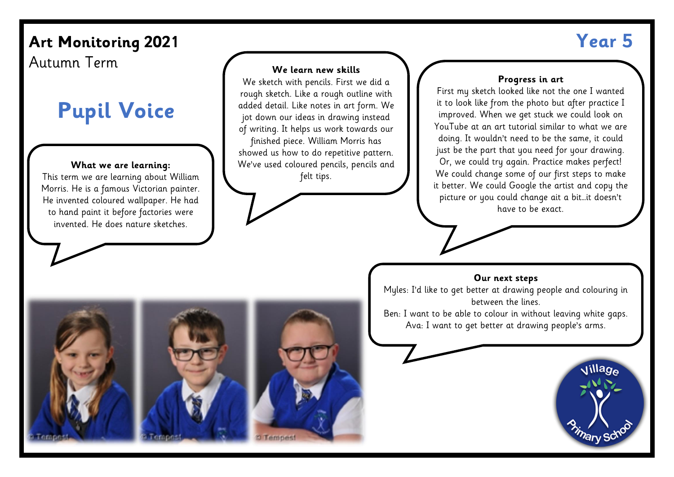## Art Monitoring 2021 **Year 5 We learn new skills**

Autumn Term

# **Pupil Voice**

#### **What we are learning:**

This term we are learning about William Morris. He is a famous Victorian painter. He invented coloured wallpaper. He had to hand paint it before factories were invented. He does nature sketches.

#### We sketch with pencils. First we did a rough sketch. Like a rough outline with added detail. Like notes in art form. We jot down our ideas in drawing instead of writing. It helps us work towards our finished piece. William Morris has showed us how to do repetitive pattern. We've used coloured pencils, pencils and felt tips.

#### **Progress in art**

First my sketch looked like not the one I wanted it to look like from the photo but after practice I improved. When we get stuck we could look on YouTube at an art tutorial similar to what we are doing. It wouldn't need to be the same, it could just be the part that you need for your drawing. Or, we could try again. Practice makes perfect! We could change some of our first steps to make it better. We could Google the artist and copy the picture or you could change ait a bit…it doesn't have to be exact.

#### **Our next steps**

Myles: I'd like to get better at drawing people and colouring in between the lines. Ben: I want to be able to colour in without leaving white gaps. Ava: I want to get better at drawing people's arms.